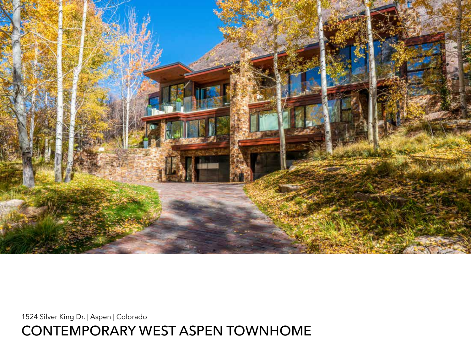

1524 Silver King Dr. | Aspen | Colorado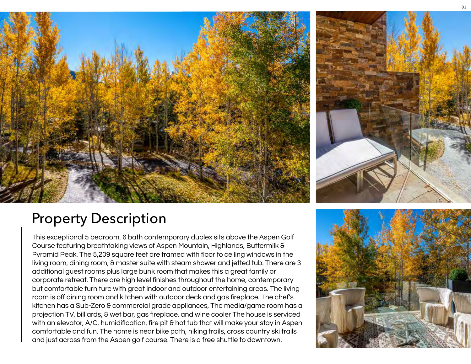



# Property Description

This exceptional 5 bedroom, 6 bath contemporary duplex sits above the Aspen Golf Course featuring breathtaking views of Aspen Mountain, Highlands, Buttermilk & Pyramid Peak. The 5,209 square feet are framed with floor to ceiling windows in the living room, dining room, & master suite with steam shower and jetted tub. There are 3 additional guest rooms plus large bunk room that makes this a great family or corporate retreat. There are high level finishes throughout the home, contemporary but comfortable furniture with great indoor and outdoor entertaining areas. The living room is off dining room and kitchen with outdoor deck and gas fireplace. The chef's kitchen has a Sub-Zero & commercial grade appliances, The media/game room has a projection TV, billiards, & wet bar, gas fireplace. and wine cooler The house is serviced with an elevator, A/C, humidification, fire pit & hot tub that will make your stay in Aspen comfortable and fun. The home is near bike path, hiking trails, cross country ski trails and just across from the Aspen golf course. There is a free shuttle to downtown.

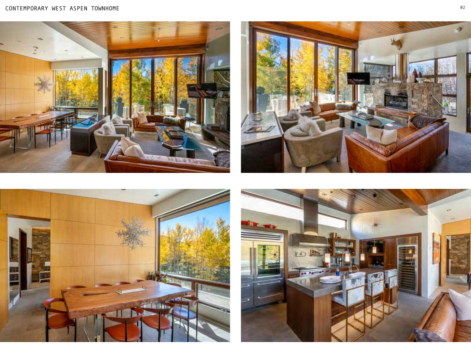





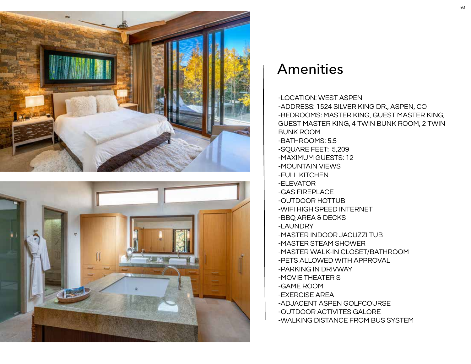



## Amenities

-LOCATION: WEST ASPEN -ADDRESS: 1524 SILVER KING DR., ASPEN, CO -BEDROOMS: MASTER KING, GUEST MASTER KING, GUEST MASTER KING, 4 TWIN BUNK ROOM, 2 TWIN BUNK ROOM -BATHROOMS: 5.5 -SQUARE FEET: 5,209 -MAXIMUM GUESTS: 12 -MOUNTAIN VIEWS -FULL KITCHEN -ELEVATOR -GAS FIREPLACE -OUTDOOR HOTTUB -WIFI HIGH SPEED INTERNET -BBQ AREA & DECKS -LAUNDRY -MASTER INDOOR JACUZZI TUB -MASTER STEAM SHOWER -MASTER WALK-IN CLOSET/BATHROOM -PETS ALLOWED WITH APPROVAL -PARKING IN DRIVWAY -MOVIE THEATER S -GAME ROOM -EXERCISE AREA -ADJACENT ASPEN GOLFCOURSE -OUTDOOR ACTIVITES GALORE -WALKING DISTANCE FROM BUS SYSTEM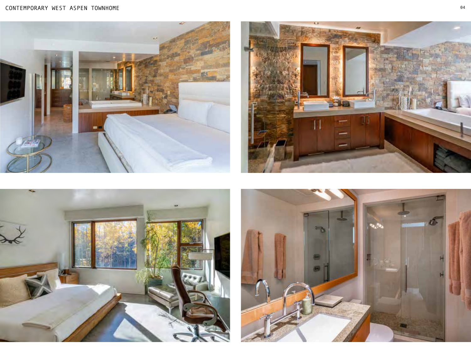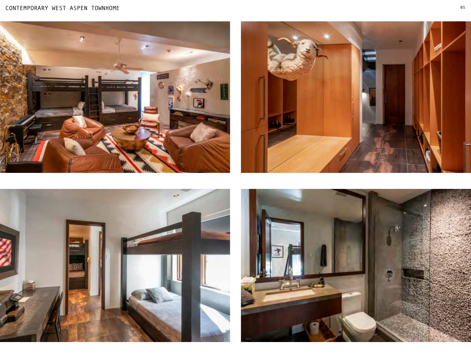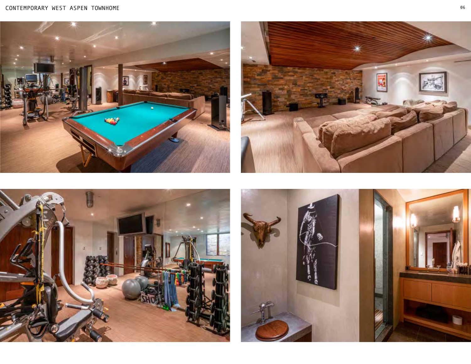